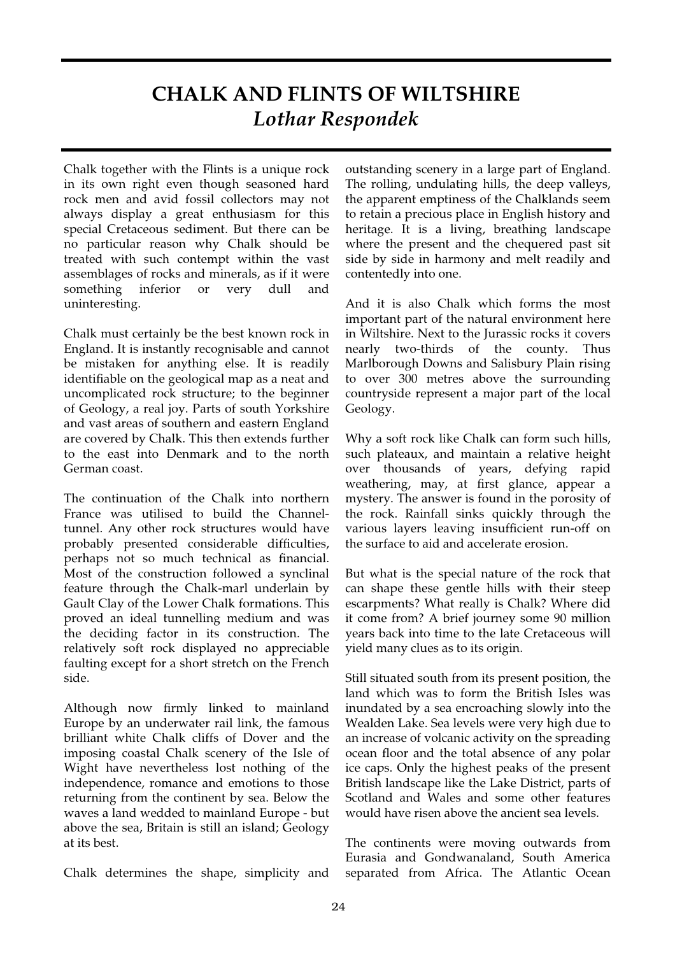## **CHALK AND FLINTS OF WILTSHIRE** *Lothar Respondek*

Chalk together with the Flints is a unique rock in its own right even though seasoned hard rock men and avid fossil collectors may not always display a great enthusiasm for this special Cretaceous sediment. But there can be no particular reason why Chalk should be treated with such contempt within the vast assemblages of rocks and minerals, as if it were something inferior or very dull and uninteresting.

Chalk must certainly be the best known rock in England. It is instantly recognisable and cannot be mistaken for anything else. It is readily identifiable on the geological map as a neat and uncomplicated rock structure; to the beginner of Geology, a real joy. Parts of south Yorkshire and vast areas of southern and eastern England are covered by Chalk. This then extends further to the east into Denmark and to the north German coast.

The continuation of the Chalk into northern France was utilised to build the Channeltunnel. Any other rock structures would have probably presented considerable difficulties, perhaps not so much technical as financial. Most of the construction followed a synclinal feature through the Chalk-marl underlain by Gault Clay of the Lower Chalk formations. This proved an ideal tunnelling medium and was the deciding factor in its construction. The relatively soft rock displayed no appreciable faulting except for a short stretch on the French side.

Although now firmly linked to mainland Europe by an underwater rail link, the famous brilliant white Chalk cliffs of Dover and the imposing coastal Chalk scenery of the Isle of Wight have nevertheless lost nothing of the independence, romance and emotions to those returning from the continent by sea. Below the waves a land wedded to mainland Europe - but above the sea, Britain is still an island; Geology at its best.

Chalk determines the shape, simplicity and

outstanding scenery in a large part of England. The rolling, undulating hills, the deep valleys, the apparent emptiness of the Chalklands seem to retain a precious place in English history and heritage. It is a living, breathing landscape where the present and the chequered past sit side by side in harmony and melt readily and contentedly into one.

And it is also Chalk which forms the most important part of the natural environment here in Wiltshire. Next to the Jurassic rocks it covers nearly two-thirds of the county. Thus Marlborough Downs and Salisbury Plain rising to over 300 metres above the surrounding countryside represent a major part of the local Geology.

Why a soft rock like Chalk can form such hills, such plateaux, and maintain a relative height over thousands of years, defying rapid weathering, may, at first glance, appear a mystery. The answer is found in the porosity of the rock. Rainfall sinks quickly through the various layers leaving insufficient run-off on the surface to aid and accelerate erosion.

But what is the special nature of the rock that can shape these gentle hills with their steep escarpments? What really is Chalk? Where did it come from? A brief journey some 90 million years back into time to the late Cretaceous will yield many clues as to its origin.

Still situated south from its present position, the land which was to form the British Isles was inundated by a sea encroaching slowly into the Wealden Lake. Sea levels were very high due to an increase of volcanic activity on the spreading ocean floor and the total absence of any polar ice caps. Only the highest peaks of the present British landscape like the Lake District, parts of Scotland and Wales and some other features would have risen above the ancient sea levels.

The continents were moving outwards from Eurasia and Gondwanaland, South America separated from Africa. The Atlantic Ocean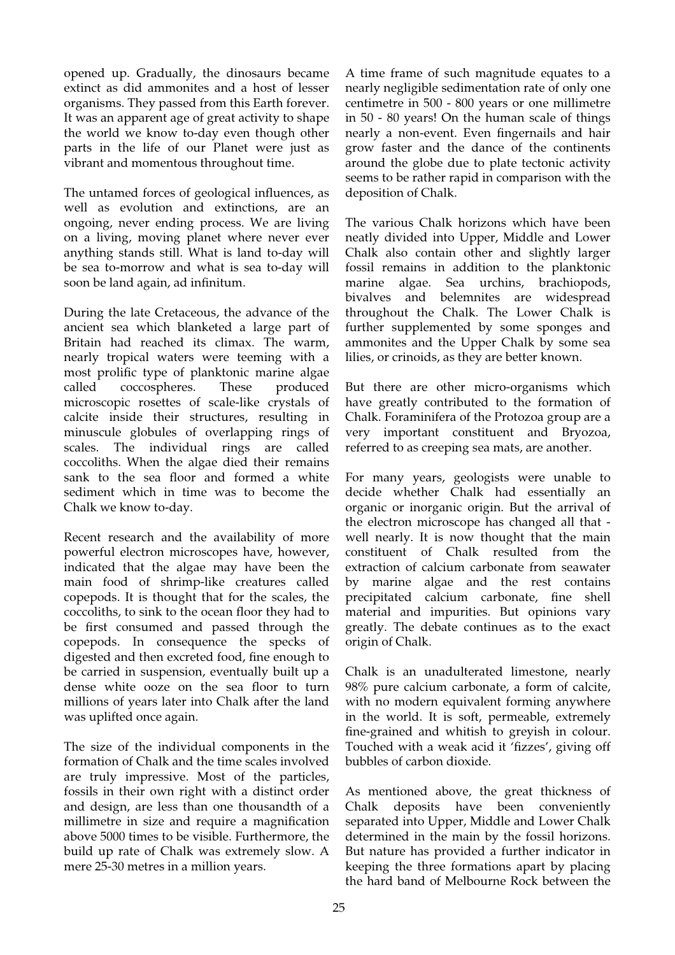opened up. Gradually, the dinosaurs became extinct as did ammonites and a host of lesser organisms. They passed from this Earth forever. It was an apparent age of great activity to shape the world we know to-day even though other parts in the life of our Planet were just as vibrant and momentous throughout time.

The untamed forces of geological influences, as well as evolution and extinctions, are an ongoing, never ending process. We are living on a living, moving planet where never ever anything stands still. What is land to-day will be sea to-morrow and what is sea to-day will soon be land again, ad infinitum.

During the late Cretaceous, the advance of the ancient sea which blanketed a large part of Britain had reached its climax. The warm, nearly tropical waters were teeming with a most prolific type of planktonic marine algae called coccospheres. These produced microscopic rosettes of scale-like crystals of calcite inside their structures, resulting in minuscule globules of overlapping rings of scales. The individual rings are called coccoliths. When the algae died their remains sank to the sea floor and formed a white sediment which in time was to become the Chalk we know to-day.

Recent research and the availability of more powerful electron microscopes have, however, indicated that the algae may have been the main food of shrimp-like creatures called copepods. It is thought that for the scales, the coccoliths, to sink to the ocean floor they had to be first consumed and passed through the copepods. In consequence the specks of digested and then excreted food, fine enough to be carried in suspension, eventually built up a dense white ooze on the sea floor to turn millions of years later into Chalk after the land was uplifted once again.

The size of the individual components in the formation of Chalk and the time scales involved are truly impressive. Most of the particles, fossils in their own right with a distinct order and design, are less than one thousandth of a millimetre in size and require a magnification above 5000 times to be visible. Furthermore, the build up rate of Chalk was extremely slow. A mere 25-30 metres in a million years.

A time frame of such magnitude equates to a nearly negligible sedimentation rate of only one centimetre in 500 - 800 years or one millimetre in 50 - 80 years! On the human scale of things nearly a non-event. Even fingernails and hair grow faster and the dance of the continents around the globe due to plate tectonic activity seems to be rather rapid in comparison with the deposition of Chalk.

The various Chalk horizons which have been neatly divided into Upper, Middle and Lower Chalk also contain other and slightly larger fossil remains in addition to the planktonic marine algae. Sea urchins, brachiopods, bivalves and belemnites are widespread throughout the Chalk. The Lower Chalk is further supplemented by some sponges and ammonites and the Upper Chalk by some sea lilies, or crinoids, as they are better known.

But there are other micro-organisms which have greatly contributed to the formation of Chalk. Foraminifera of the Protozoa group are a very important constituent and Bryozoa, referred to as creeping sea mats, are another.

For many years, geologists were unable to decide whether Chalk had essentially an organic or inorganic origin. But the arrival of the electron microscope has changed all that well nearly. It is now thought that the main constituent of Chalk resulted from the extraction of calcium carbonate from seawater by marine algae and the rest contains precipitated calcium carbonate, fine shell material and impurities. But opinions vary greatly. The debate continues as to the exact origin of Chalk.

Chalk is an unadulterated limestone, nearly 98% pure calcium carbonate, a form of calcite, with no modern equivalent forming anywhere in the world. It is soft, permeable, extremely fine-grained and whitish to greyish in colour. Touched with a weak acid it 'fizzes', giving off bubbles of carbon dioxide.

As mentioned above, the great thickness of Chalk deposits have been conveniently separated into Upper, Middle and Lower Chalk determined in the main by the fossil horizons. But nature has provided a further indicator in keeping the three formations apart by placing the hard band of Melbourne Rock between the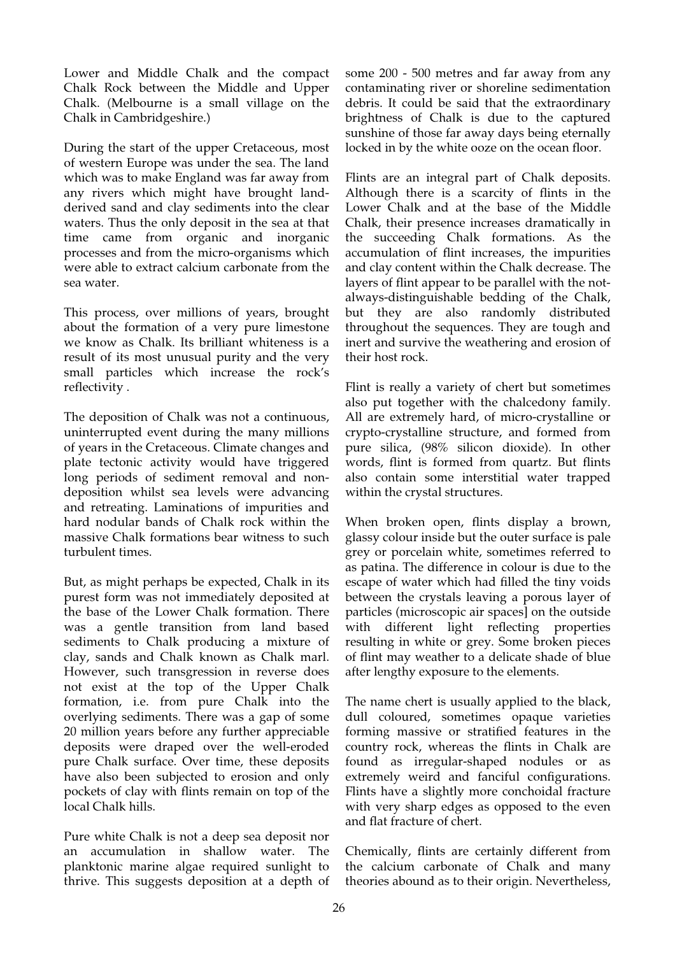Lower and Middle Chalk and the compact Chalk Rock between the Middle and Upper Chalk. (Melbourne is a small village on the Chalk in Cambridgeshire.)

During the start of the upper Cretaceous, most of western Europe was under the sea. The land which was to make England was far away from any rivers which might have brought landderived sand and clay sediments into the clear waters. Thus the only deposit in the sea at that time came from organic and inorganic processes and from the micro-organisms which were able to extract calcium carbonate from the sea water.

This process, over millions of years, brought about the formation of a very pure limestone we know as Chalk. Its brilliant whiteness is a result of its most unusual purity and the very small particles which increase the rock's reflectivity.

The deposition of Chalk was not a continuous, uninterrupted event during the many millions of years in the Cretaceous. Climate changes and plate tectonic activity would have triggered long periods of sediment removal and nondeposition whilst sea levels were advancing and retreating. Laminations of impurities and hard nodular bands of Chalk rock within the massive Chalk formations bear witness to such turbulent times.

But, as might perhaps be expected, Chalk in its purest form was not immediately deposited at the base of the Lower Chalk formation. There was a gentle transition from land based sediments to Chalk producing a mixture of clay, sands and Chalk known as Chalk marl. However, such transgression in reverse does not exist at the top of the Upper Chalk formation, i.e. from pure Chalk into the overlying sediments. There was a gap of some 20 million years before any further appreciable deposits were draped over the well-eroded pure Chalk surface. Over time, these deposits have also been subjected to erosion and only pockets of clay with flints remain on top of the local Chalk hills.

Pure white Chalk is not a deep sea deposit nor an accumulation in shallow water. The planktonic marine algae required sunlight to thrive. This suggests deposition at a depth of

some 200 - 500 metres and far away from any contaminating river or shoreline sedimentation debris. It could be said that the extraordinary brightness of Chalk is due to the captured sunshine of those far away days being eternally locked in by the white ooze on the ocean floor.

Flints are an integral part of Chalk deposits. Although there is a scarcity of flints in the Lower Chalk and at the base of the Middle Chalk, their presence increases dramatically in the succeeding Chalk formations. As the accumulation of flint increases, the impurities and clay content within the Chalk decrease. The layers of flint appear to be parallel with the notalways-distinguishable bedding of the Chalk, but they are also randomly distributed throughout the sequences. They are tough and inert and survive the weathering and erosion of their host rock.

Flint is really a variety of chert but sometimes also put together with the chalcedony family. All are extremely hard, of micro-crystalline or crypto-crystalline structure, and formed from pure silica, (98% silicon dioxide). In other words, flint is formed from quartz. But flints also contain some interstitial water trapped within the crystal structures.

When broken open, flints display a brown, glassy colour inside but the outer surface is pale grey or porcelain white, sometimes referred to as patina. The difference in colour is due to the escape of water which had filled the tiny voids between the crystals leaving a porous layer of particles (microscopic air spaces] on the outside with different light reflecting properties resulting in white or grey. Some broken pieces of flint may weather to a delicate shade of blue after lengthy exposure to the elements.

The name chert is usually applied to the black, dull coloured, sometimes opaque varieties forming massive or stratified features in the country rock, whereas the flints in Chalk are found as irregular-shaped nodules or as extremely weird and fanciful configurations. Flints have a slightly more conchoidal fracture with very sharp edges as opposed to the even and flat fracture of chert.

Chemically, flints are certainly different from the calcium carbonate of Chalk and many theories abound as to their origin. Nevertheless,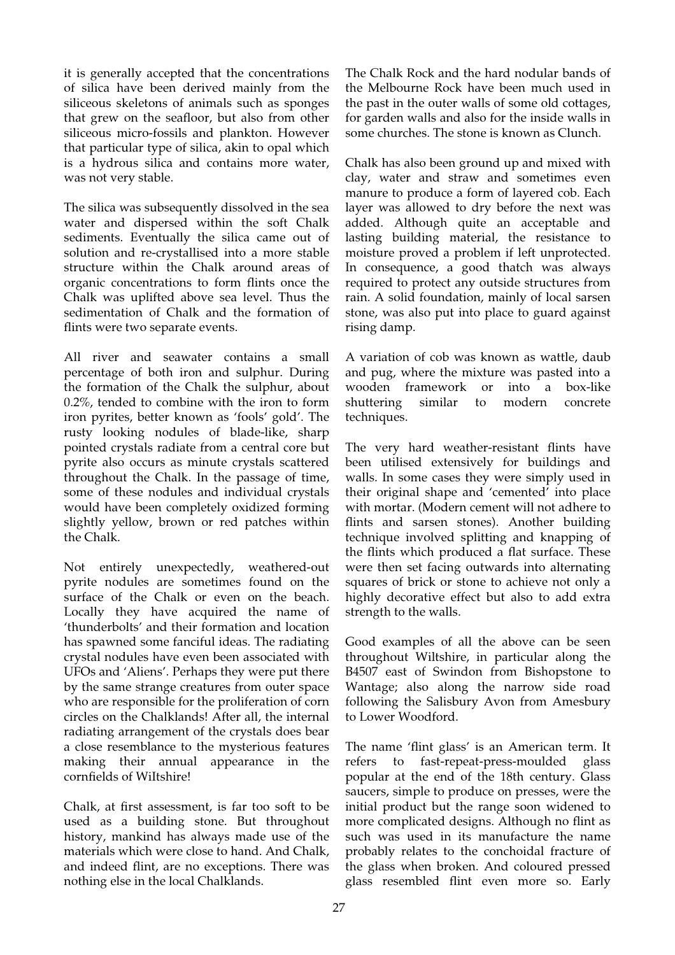it is generally accepted that the concentrations of silica have been derived mainly from the siliceous skeletons of animals such as sponges that grew on the seafloor, but also from other siliceous micro-fossils and plankton. However that particular type of silica, akin to opal which is a hydrous silica and contains more water, was not very stable.

The silica was subsequently dissolved in the sea water and dispersed within the soft Chalk sediments. Eventually the silica came out of solution and re-crystallised into a more stable structure within the Chalk around areas of organic concentrations to form flints once the Chalk was uplifted above sea level. Thus the sedimentation of Chalk and the formation of flints were two separate events.

All river and seawater contains a small percentage of both iron and sulphur. During the formation of the Chalk the sulphur, about 0.2%, tended to combine with the iron to form iron pyrites, better known as 'fools' gold'. The rusty looking nodules of blade-like, sharp pointed crystals radiate from a central core but pyrite also occurs as minute crystals scattered throughout the Chalk. In the passage of time, some of these nodules and individual crystals would have been completely oxidized forming slightly yellow, brown or red patches within the Chalk.

Not entirely unexpectedly, weathered-out pyrite nodules are sometimes found on the surface of the Chalk or even on the beach. Locally they have acquired the name of 'thunderbolts' and their formation and location has spawned some fanciful ideas. The radiating crystal nodules have even been associated with UFOs and 'Aliens'. Perhaps they were put there by the same strange creatures from outer space who are responsible for the proliferation of corn circles on the Chalklands! After all, the internal radiating arrangement of the crystals does bear a close resemblance to the mysterious features making their annual appearance in the cornfields of WiItshire!

Chalk, at first assessment, is far too soft to be used as a building stone. But throughout history, mankind has always made use of the materials which were close to hand. And Chalk, and indeed flint, are no exceptions. There was nothing else in the local Chalklands.

The Chalk Rock and the hard nodular bands of the Melbourne Rock have been much used in the past in the outer walls of some old cottages, for garden walls and also for the inside walls in some churches. The stone is known as Clunch.

Chalk has also been ground up and mixed with clay, water and straw and sometimes even manure to produce a form of layered cob. Each layer was allowed to dry before the next was added. Although quite an acceptable and lasting building material, the resistance to moisture proved a problem if left unprotected. In consequence, a good thatch was always required to protect any outside structures from rain. A solid foundation, mainly of local sarsen stone, was also put into place to guard against rising damp.

A variation of cob was known as wattle, daub and pug, where the mixture was pasted into a wooden framework or into a box-like shuttering similar to modern concrete techniques.

The very hard weather-resistant flints have been utilised extensively for buildings and walls. In some cases they were simply used in their original shape and 'cemented' into place with mortar. (Modern cement will not adhere to flints and sarsen stones). Another building technique involved splitting and knapping of the flints which produced a flat surface. These were then set facing outwards into alternating squares of brick or stone to achieve not only a highly decorative effect but also to add extra strength to the walls.

Good examples of all the above can be seen throughout Wiltshire, in particular along the B4507 east of Swindon from Bishopstone to Wantage; also along the narrow side road following the Salisbury Avon from Amesbury to Lower Woodford.

The name 'flint glass' is an American term. It refers to fast-repeat-press-moulded glass popular at the end of the 18th century. Glass saucers, simple to produce on presses, were the initial product but the range soon widened to more complicated designs. Although no flint as such was used in its manufacture the name probably relates to the conchoidal fracture of the glass when broken. And coloured pressed glass resembled flint even more so. Early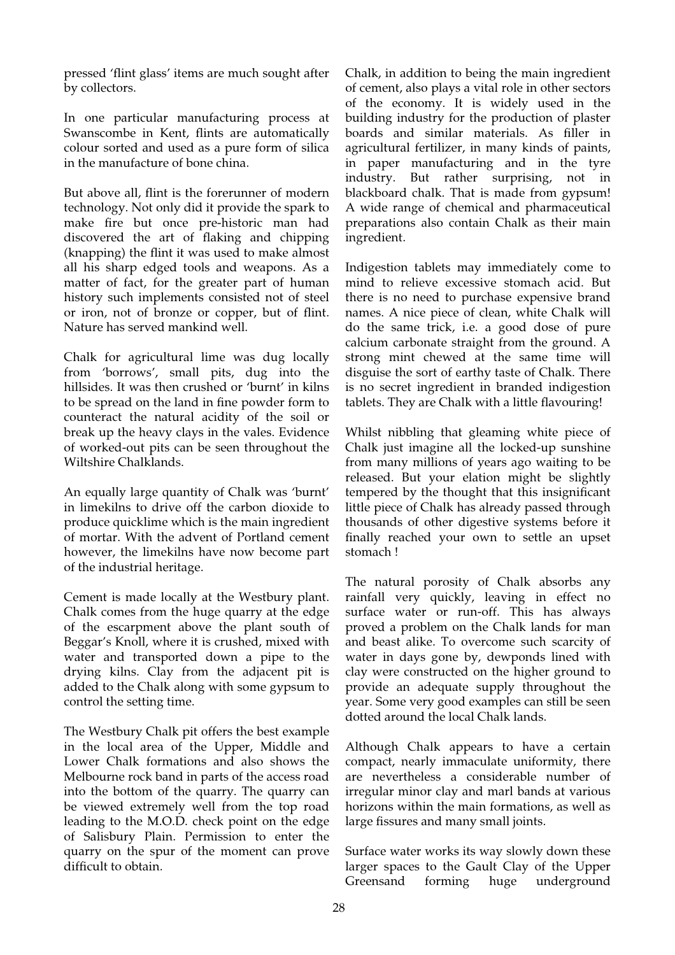pressed 'flint glass' items are much sought after by collectors.

In one particular manufacturing process at Swanscombe in Kent, flints are automatically colour sorted and used as a pure form of silica in the manufacture of bone china.

But above all, flint is the forerunner of modern technology. Not only did it provide the spark to make fire but once pre-historic man had discovered the art of flaking and chipping (knapping) the flint it was used to make almost all his sharp edged tools and weapons. As a matter of fact, for the greater part of human history such implements consisted not of steel or iron, not of bronze or copper, but of flint. Nature has served mankind well.

Chalk for agricultural lime was dug locally from 'borrows', small pits, dug into the hillsides. It was then crushed or 'burnt' in kilns to be spread on the land in fine powder form to counteract the natural acidity of the soil or break up the heavy clays in the vales. Evidence of worked-out pits can be seen throughout the Wiltshire Chalklands.

An equally large quantity of Chalk was 'burnt' in limekilns to drive off the carbon dioxide to produce quicklime which is the main ingredient of mortar. With the advent of Portland cement however, the limekilns have now become part of the industrial heritage.

Cement is made locally at the Westbury plant. Chalk comes from the huge quarry at the edge of the escarpment above the plant south of Beggar's Knoll, where it is crushed, mixed with water and transported down a pipe to the drying kilns. Clay from the adjacent pit is added to the Chalk along with some gypsum to control the setting time.

The Westbury Chalk pit offers the best example in the local area of the Upper, Middle and Lower Chalk formations and also shows the Melbourne rock band in parts of the access road into the bottom of the quarry. The quarry can be viewed extremely well from the top road leading to the M.O.D. check point on the edge of Salisbury Plain. Permission to enter the quarry on the spur of the moment can prove difficult to obtain.

Chalk, in addition to being the main ingredient of cement, also plays a vital role in other sectors of the economy. It is widely used in the building industry for the production of plaster boards and similar materials. As filler in agricultural fertilizer, in many kinds of paints, in paper manufacturing and in the tyre industry. But rather surprising, not in blackboard chalk. That is made from gypsum! A wide range of chemical and pharmaceutical preparations also contain Chalk as their main ingredient.

Indigestion tablets may immediately come to mind to relieve excessive stomach acid. But there is no need to purchase expensive brand names. A nice piece of clean, white Chalk will do the same trick, i.e. a good dose of pure calcium carbonate straight from the ground. A strong mint chewed at the same time will disguise the sort of earthy taste of Chalk. There is no secret ingredient in branded indigestion tablets. They are Chalk with a little flavouring!

Whilst nibbling that gleaming white piece of Chalk just imagine all the locked-up sunshine from many millions of years ago waiting to be released. But your elation might be slightly tempered by the thought that this insignicant little piece of Chalk has already passed through thousands of other digestive systems before it finally reached your own to settle an upset stomach !

The natural porosity of Chalk absorbs any rainfall very quickly, leaving in effect no surface water or run-off. This has always proved a problem on the Chalk lands for man and beast alike. To overcome such scarcity of water in days gone by, dewponds lined with clay were constructed on the higher ground to provide an adequate supply throughout the year. Some very good examples can still be seen dotted around the local Chalk lands.

Although Chalk appears to have a certain compact, nearly immaculate uniformity, there are nevertheless a considerable number of irregular minor clay and marl bands at various horizons within the main formations, as well as large fissures and many small joints.

Surface water works its way slowly down these larger spaces to the Gault Clay of the Upper Greensand forming huge underground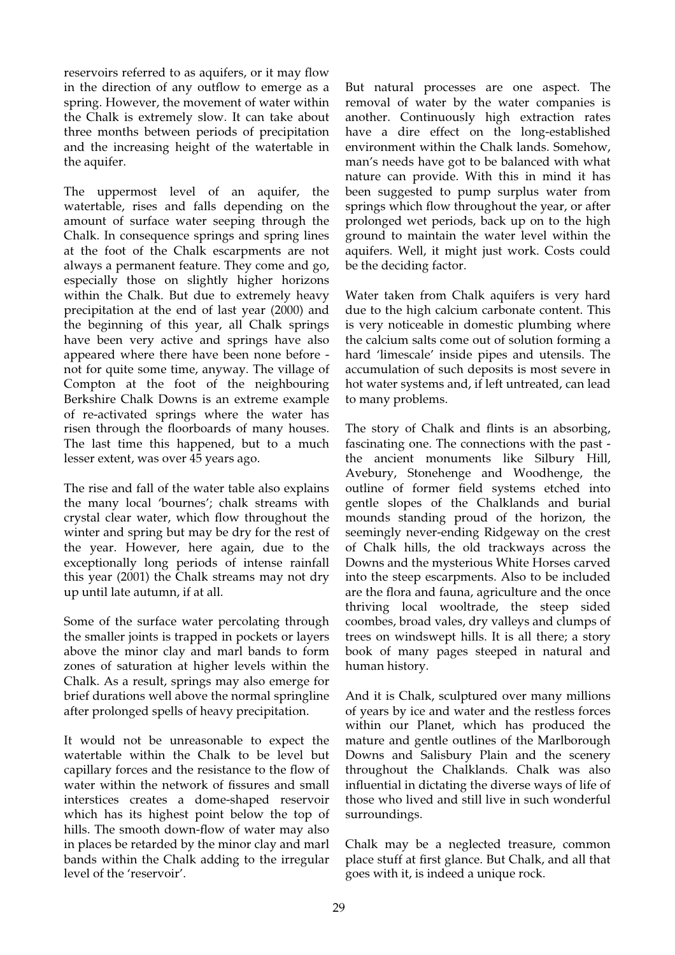reservoirs referred to as aquifers, or it may flow in the direction of any outflow to emerge as a spring. However, the movement of water within the Chalk is extremely slow. It can take about three months between periods of precipitation and the increasing height of the watertable in the aquifer.

The uppermost level of an aquifer, the watertable, rises and falls depending on the amount of surface water seeping through the Chalk. In consequence springs and spring lines at the foot of the Chalk escarpments are not always a permanent feature. They come and go, especially those on slightly higher horizons within the Chalk. But due to extremely heavy precipitation at the end of last year (2000) and the beginning of this year, all Chalk springs have been very active and springs have also appeared where there have been none before not for quite some time, anyway. The village of Compton at the foot of the neighbouring Berkshire Chalk Downs is an extreme example of re-activated springs where the water has risen through the floorboards of many houses. The last time this happened, but to a much lesser extent, was over 45 years ago.

The rise and fall of the water table also explains the many local 'bournes'; chalk streams with crystal clear water, which flow throughout the winter and spring but may be dry for the rest of the year. However, here again, due to the exceptionally long periods of intense rainfall this year (2001) the Chalk streams may not dry up until late autumn, if at all.

Some of the surface water percolating through the smaller joints is trapped in pockets or layers above the minor clay and marl bands to form zones of saturation at higher levels within the Chalk. As a result, springs may also emerge for brief durations well above the normal springline after prolonged spells of heavy precipitation.

It would not be unreasonable to expect the watertable within the Chalk to be level but capillary forces and the resistance to the flow of water within the network of fissures and small interstices creates a dome-shaped reservoir which has its highest point below the top of hills. The smooth down-flow of water may also in places be retarded by the minor clay and marl bands within the Chalk adding to the irregular level of the 'reservoir'.

But natural processes are one aspect. The removal of water by the water companies is another. Continuously high extraction rates have a dire effect on the long-established environment within the Chalk lands. Somehow, man's needs have got to be balanced with what nature can provide. With this in mind it has been suggested to pump surplus water from springs which flow throughout the year, or after prolonged wet periods, back up on to the high ground to maintain the water level within the aquifers. Well, it might just work. Costs could be the deciding factor.

Water taken from Chalk aquifers is very hard due to the high calcium carbonate content. This is very noticeable in domestic plumbing where the calcium salts come out of solution forming a hard 'limescale' inside pipes and utensils. The accumulation of such deposits is most severe in hot water systems and, if left untreated, can lead to many problems.

The story of Chalk and flints is an absorbing, fascinating one. The connections with the past the ancient monuments like Silbury Hill, Avebury, Stonehenge and Woodhenge, the outline of former field systems etched into gentle slopes of the Chalklands and burial mounds standing proud of the horizon, the seemingly never-ending Ridgeway on the crest of Chalk hills, the old trackways across the Downs and the mysterious White Horses carved into the steep escarpments. Also to be included are the flora and fauna, agriculture and the once thriving local wooltrade, the steep sided coombes, broad vales, dry valleys and clumps of trees on windswept hills. It is all there; a story book of many pages steeped in natural and human history.

And it is Chalk, sculptured over many millions of years by ice and water and the restless forces within our Planet, which has produced the mature and gentle outlines of the Marlborough Downs and Salisbury Plain and the scenery throughout the Chalklands. Chalk was also influential in dictating the diverse ways of life of those who lived and still live in such wonderful surroundings.

Chalk may be a neglected treasure, common place stuff at first glance. But Chalk, and all that goes with it, is indeed a unique rock.